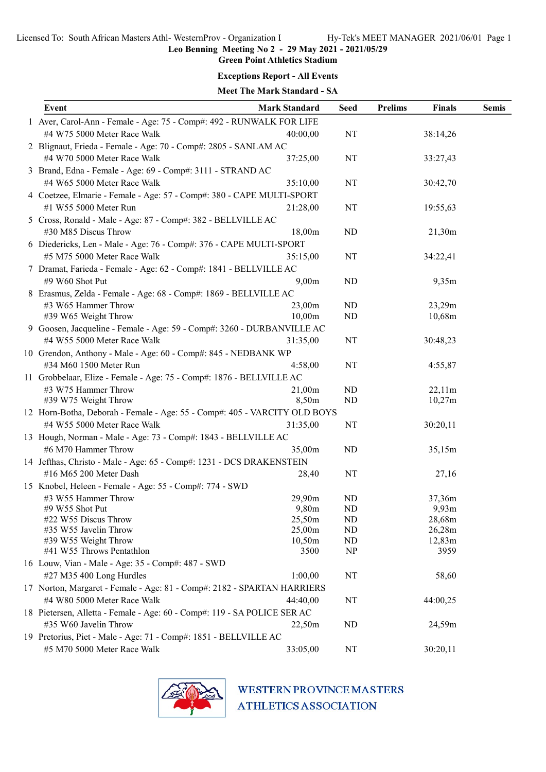Leo Benning Meeting No 2 - 29 May 2021 - 2021/05/29

## Green Point Athletics Stadium

#### Exceptions Report - All Events

#### Meet The Mark Standard - SA

|  | Event                                                                     | <b>Mark Standard</b> | <b>Seed</b>    | <b>Prelims</b> | Finals   | <b>Semis</b> |
|--|---------------------------------------------------------------------------|----------------------|----------------|----------------|----------|--------------|
|  | 1 Aver, Carol-Ann - Female - Age: 75 - Comp#: 492 - RUNWALK FOR LIFE      |                      |                |                |          |              |
|  | #4 W75 5000 Meter Race Walk                                               | 40:00,00             | NT             |                | 38:14,26 |              |
|  | 2 Blignaut, Frieda - Female - Age: 70 - Comp#: 2805 - SANLAM AC           |                      |                |                |          |              |
|  | #4 W70 5000 Meter Race Walk                                               | 37:25,00             | NT             |                | 33:27,43 |              |
|  | 3 Brand, Edna - Female - Age: 69 - Comp#: 3111 - STRAND AC                |                      |                |                |          |              |
|  | #4 W65 5000 Meter Race Walk                                               | 35:10,00             | NT             |                | 30:42,70 |              |
|  | 4 Coetzee, Elmarie - Female - Age: 57 - Comp#: 380 - CAPE MULTI-SPORT     |                      |                |                |          |              |
|  | #1 W55 5000 Meter Run                                                     | 21:28,00             | NT             |                | 19:55,63 |              |
|  | 5 Cross, Ronald - Male - Age: 87 - Comp#: 382 - BELLVILLE AC              |                      |                |                |          |              |
|  | #30 M85 Discus Throw                                                      | 18,00m               | ND             |                | 21,30m   |              |
|  | 6 Diedericks, Len - Male - Age: 76 - Comp#: 376 - CAPE MULTI-SPORT        |                      |                |                |          |              |
|  | #5 M75 5000 Meter Race Walk                                               | 35:15,00             | NT             |                | 34:22,41 |              |
|  | 7 Dramat, Farieda - Female - Age: 62 - Comp#: 1841 - BELLVILLE AC         |                      |                |                |          |              |
|  | #9 W60 Shot Put                                                           | 9,00m                | ND             |                | 9,35m    |              |
|  | 8 Erasmus, Zelda - Female - Age: 68 - Comp#: 1869 - BELLVILLE AC          |                      |                |                |          |              |
|  | #3 W65 Hammer Throw                                                       | 23,00m               | ND             |                | 23,29m   |              |
|  | #39 W65 Weight Throw                                                      | 10,00m               | ND             |                | 10,68m   |              |
|  | 9 Goosen, Jacqueline - Female - Age: 59 - Comp#: 3260 - DURBANVILLE AC    |                      |                |                |          |              |
|  | #4 W55 5000 Meter Race Walk                                               | 31:35,00             | NT             |                | 30:48,23 |              |
|  | 10 Grendon, Anthony - Male - Age: 60 - Comp#: 845 - NEDBANK WP            |                      |                |                |          |              |
|  | #34 M60 1500 Meter Run                                                    | 4:58,00              | NT             |                | 4:55,87  |              |
|  | 11 Grobbelaar, Elize - Female - Age: 75 - Comp#: 1876 - BELLVILLE AC      |                      |                |                |          |              |
|  | #3 W75 Hammer Throw                                                       | 21,00m               | ND             |                | 22,11m   |              |
|  | #39 W75 Weight Throw                                                      | 8,50m                | N <sub>D</sub> |                | 10,27m   |              |
|  | 12 Horn-Botha, Deborah - Female - Age: 55 - Comp#: 405 - VARCITY OLD BOYS |                      |                |                |          |              |
|  | #4 W55 5000 Meter Race Walk                                               | 31:35,00             | NT             |                | 30:20,11 |              |
|  | 13 Hough, Norman - Male - Age: 73 - Comp#: 1843 - BELLVILLE AC            |                      |                |                |          |              |
|  | #6 M70 Hammer Throw                                                       | 35,00m               | N <sub>D</sub> |                | 35,15m   |              |
|  | 14 Jefthas, Christo - Male - Age: 65 - Comp#: 1231 - DCS DRAKENSTEIN      |                      |                |                |          |              |
|  | #16 M65 200 Meter Dash                                                    | 28,40                | NT             |                | 27,16    |              |
|  | 15 Knobel, Heleen - Female - Age: 55 - Comp#: 774 - SWD                   |                      |                |                |          |              |
|  | #3 W55 Hammer Throw                                                       | 29,90m               | ND             |                | 37,36m   |              |
|  | $#9$ W55 Shot Put                                                         | 9,80m                | ND             |                | 9,93m    |              |
|  | #22 W55 Discus Throw                                                      | 25,50m               | ND             |                | 28,68m   |              |
|  | #35 W55 Javelin Throw                                                     | 25,00m               | ND             |                | 26,28m   |              |
|  | #39 W55 Weight Throw                                                      | 10,50m               | ND             |                | 12,83m   |              |
|  | #41 W55 Throws Pentathlon                                                 | 3500                 | <b>NP</b>      |                | 3959     |              |
|  | 16 Louw, Vian - Male - Age: 35 - Comp#: 487 - SWD                         |                      |                |                |          |              |
|  | #27 M35 400 Long Hurdles                                                  | 1:00,00              | NT             |                | 58,60    |              |
|  | 17 Norton, Margaret - Female - Age: 81 - Comp#: 2182 - SPARTAN HARRIERS   |                      |                |                |          |              |
|  | #4 W80 5000 Meter Race Walk                                               | 44:40,00             | NT             |                | 44:00,25 |              |
|  | 18 Pietersen, Alletta - Female - Age: 60 - Comp#: 119 - SA POLICE SER AC  |                      |                |                |          |              |
|  | #35 W60 Javelin Throw                                                     | 22,50m               | N <sub>D</sub> |                | 24,59m   |              |
|  | 19 Pretorius, Piet - Male - Age: 71 - Comp#: 1851 - BELLVILLE AC          |                      |                |                |          |              |
|  | #5 M70 5000 Meter Race Walk                                               | 33:05,00             | NT             |                | 30:20,11 |              |



# **WESTERN PROVINCE MASTERS ATHLETICS ASSOCIATION**